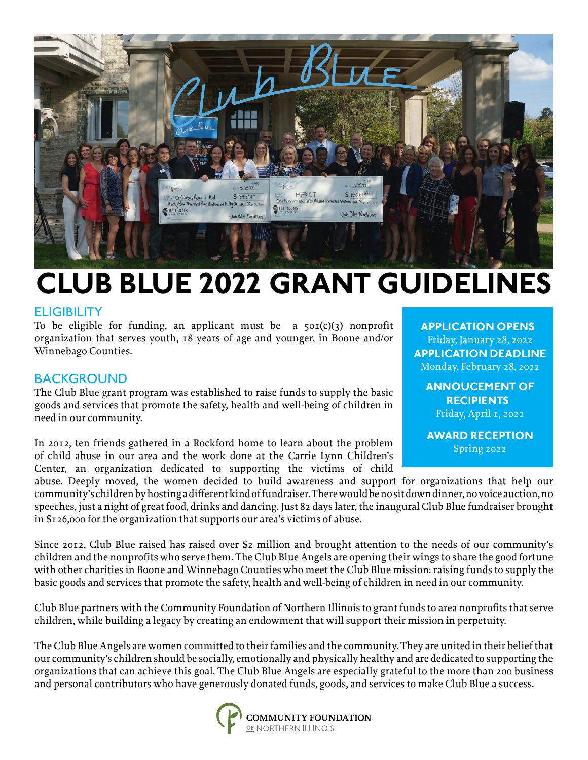

# **CLUB BLUE 2022 GRANT GUIDELINES**

#### **ELIGIBILITY**

To be eligible for funding, an applicant must be a  $50I(c)(3)$  nonprofit organization that serves youth, 18 years of age and younger, in Boone and/or Winnebago Counties.

### BACKGROUND

The Club Blue grant program was established to raise funds to supply the basic goods and services that promote the safety, health and well-being of children in need in our community.

In 2012, ten friends gathered in a Rockford home to learn about the problem of child abuse in our area and the work done at the Carrie Lynn Children's Center, an organization dedicated to supporting the victims of child

**APPLICATION OPENS** Friday, January 28, 2022 **APPLICATION DEADLINE** Monday, February 28, 2022

**ANNOUCEMENT OF RECIPIENTS** Friday, April 1, 2022

**AWARD RECEPTION** Spring 2022

abuse. Deeply moved, the women decided to build awareness and support for organizations that help our community's children by hosting a different kind of fundraiser. There would be no sit down dinner, no voice auction, no speeches, just a night of great food, drinks and dancing. Just 82 days later, the inaugural Club Blue fundraiser brought in \$126,000 for the organization that supports our area's victims of abuse.

Since 2012, Club Blue raised has raised over \$2 million and brought attention to the needs of our community's children and the nonprofits who serve them. The Club Blue Angels are opening their wings to share the good fortune with other charities in Boone and Winnebago Counties who meet the Club Blue mission: raising funds to supply the basic goods and services that promote the safety, health and well-being of children in need in our community.

Club Blue partners with the Community Foundation of Northern Illinois to grant funds to area nonprofits that serve children, while building a legacy by creating an endowment that will support their mission in perpetuity.

The Club Blue Angels are women committed to their families and the community. They are united in their belief that our community's children should be socially, emotionally and physically healthy and are dedicated to supporting the organizations that can achieve this goal. The Club Blue Angels are especially grateful to the more than 200 business and personal contributors who have generously donated funds, goods, and services to make Club Blue a success.